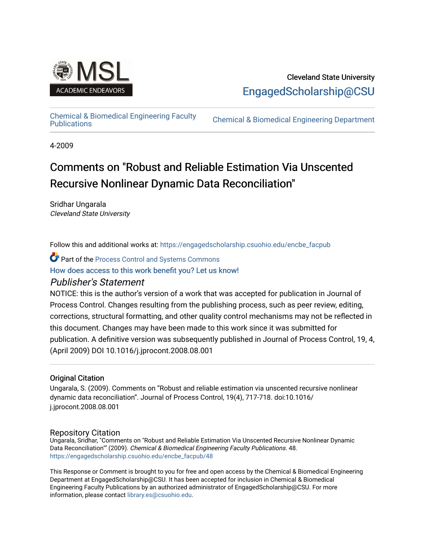

### Cleveland State University [EngagedScholarship@CSU](https://engagedscholarship.csuohio.edu/)

# [Chemical & Biomedical Engineering Faculty](https://engagedscholarship.csuohio.edu/encbe_facpub)

**Chemical & Biomedical Engineering Department** 

4-2009

## Comments on "Robust and Reliable Estimation Via Unscented Recursive Nonlinear Dynamic Data Reconciliation"

Sridhar Ungarala Cleveland State University

Follow this and additional works at: [https://engagedscholarship.csuohio.edu/encbe\\_facpub](https://engagedscholarship.csuohio.edu/encbe_facpub?utm_source=engagedscholarship.csuohio.edu%2Fencbe_facpub%2F48&utm_medium=PDF&utm_campaign=PDFCoverPages) 

Part of the [Process Control and Systems Commons](http://network.bepress.com/hgg/discipline/247?utm_source=engagedscholarship.csuohio.edu%2Fencbe_facpub%2F48&utm_medium=PDF&utm_campaign=PDFCoverPages) 

[How does access to this work benefit you? Let us know!](http://library.csuohio.edu/engaged/)

#### Publisher's Statement

NOTICE: this is the author's version of a work that was accepted for publication in Journal of Process Control. Changes resulting from the publishing process, such as peer review, editing, corrections, structural formatting, and other quality control mechanisms may not be reflected in this document. Changes may have been made to this work since it was submitted for publication. A definitive version was subsequently published in Journal of Process Control, 19, 4, (April 2009) DOI 10.1016/j.jprocont.2008.08.001

#### Original Citation

Ungarala, S. (2009). Comments on "Robust and reliable estimation via unscented recursive nonlinear dynamic data reconciliation". Journal of Process Control, 19(4), 717-718. doi:10.1016/ j.jprocont.2008.08.001

#### Repository Citation

Ungarala, Sridhar, "Comments on "Robust and Reliable Estimation Via Unscented Recursive Nonlinear Dynamic Data Reconciliation"" (2009). Chemical & Biomedical Engineering Faculty Publications. 48. [https://engagedscholarship.csuohio.edu/encbe\\_facpub/48](https://engagedscholarship.csuohio.edu/encbe_facpub/48?utm_source=engagedscholarship.csuohio.edu%2Fencbe_facpub%2F48&utm_medium=PDF&utm_campaign=PDFCoverPages) 

This Response or Comment is brought to you for free and open access by the Chemical & Biomedical Engineering Department at EngagedScholarship@CSU. It has been accepted for inclusion in Chemical & Biomedical Engineering Faculty Publications by an authorized administrator of EngagedScholarship@CSU. For more information, please contact [library.es@csuohio.edu](mailto:library.es@csuohio.edu).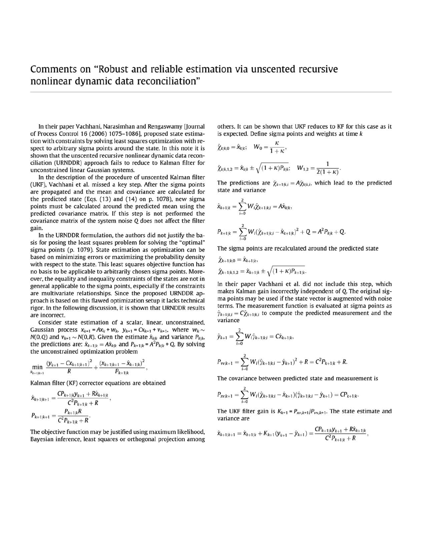In their paper Vachhani, Narasimhan and Rengaswamy [Journal of Process Control 16 (2006) 1075-1086], proposed state estimation with constraints by solving least squares optimization with respect to arbitrary sigma points around the state. In this note it is shown that the unscented recursive nonlinear dynamic data reconciliation (URNOOR) approach fails to reduce to Kalman filter for unconstrained linear Gaussian systems.

In the description of the procedure of unscented Kalman filter (UKF), Vachhani et al. missed a key step. After the sigma points are propagated and the mean and covariance are calculated for the predicted state (Eqs. (13) and (14) on p. 1078), new sigma points must be calculated around the predicted mean using the predicted covariance matrix. If this step is not performed the covariance matrix of the system noise Q does not affect the filter gain.

In the URNOOR formulation, the authors did not justify the basis for posing the least squares problem for solving the "optimal" sigma points (p. 1079). State estimation as optimization can be based on minimizing errors or maximizing the probability density with respect to the state. This least squares objective function has no basis to be applicable to arbitrarily chosen sigma points. Moreover, the equality and inequality constraints of the states are not in general applicable to the sigma points. especially if the constraints are multivariate relationships. Since the proposed URNDDR approach is based on this flawed optimization setup it lacks technical rigor. In the following discussion, it is shown that URNDDR results are incorrect.

Consider state estimation of a scalar, linear, unconstrained. Gaussian process  $x_{k+1} = Ax_k + w_k$ ,  $y_{k+1} = Cx_{k+1} + v_{k+1}$ , where  $w_k \sim$  $N(0,Q)$  and  $v_{k+1} \sim N(0,R)$ . Given the estimate  $\hat{x}_{k|k}$  and variance  $P_{k|k}$ . the predictions are:  $\hat{x}_{k+1|k} = A\hat{x}_{k|k}$  and  $P_{k+1|k} = A^2 P_{k|k} + Q$ . By solving the unconstrained optimization problem

$$
\min_{\hat{x}_{k+1|k+1}} \frac{(y_{k+1} - C x_{k+1|k+1})^2}{R} + \frac{(x_{k+1|k+1} - \hat{x}_{k+1|k})^2}{P_{k+1|k}},
$$

Kalman filter (KF) corrector equations are obtained

$$
\hat{x}_{k+1|k+1} = \frac{CP_{k+1|k}y_{k+1} + R\hat{x}_{k+1|k}}{C^2P_{k+1|k} + R},
$$

$$
P_{k+1|k+1} = \frac{P_{k+1|k}R}{C^2P_{k+1|k} + R}.
$$

The objective function may be justified using maximum likelihood, Bayesian inference, least squares or orthogonal projection among others. It can be shown that UKF reduces to KF for this case as it is expected. Define sigma points and weights at time *k* 

$$
\hat{\chi}_{k|k,0} = \hat{x}_{k|k}; \quad W_0 = \frac{\kappa}{1+\kappa},
$$
  

$$
\hat{\chi}_{k|k,1,2} = \hat{x}_{k|k} \pm \sqrt{(1+\kappa)P_{k|k}}; \quad W_{1,2} = \frac{1}{2(1+\kappa)}.
$$

The predictions are  $\hat{\chi}_{k+1|k,j} = A \hat{\chi}_{k|k,j}$ , which lead to the predicted state and variance  $\frac{2}{\sqrt{3}}$ 

$$
\hat{x}_{k+1|k} = \sum_{i=0}^{2} W_i \hat{\chi}_{k+1|k,i} = A \hat{x}_{k|k},
$$
  

$$
P_{k+1|k} = \sum_{i=0}^{2} W_i (\hat{\chi}_{k+1|k,i} - \hat{x}_{k+1|k})^2 + Q = A^2 P_{k|k} + Q.
$$

The sigma points are recalculated around the predicted state

$$
\hat{\chi}_{k+1|k,0} = \hat{\chi}_{k+1|k},
$$
  

$$
\hat{\chi}_{k+1|k,1,2} = \hat{\chi}_{k+1|k} \pm \sqrt{(1+\kappa)P_{k+1|k}}.
$$

In their paper Vachhani et al. did not include this step, which makes Kalman gain incorrectly independent of Q, The original sigma points may be used if the state vector is augmented with noise terms. The measurement function is evaluated at sigma points as  $\hat{\gamma}_{k+1|k,i} = C\hat{\chi}_{k+1|k,i}$  to compute the predicted measurement and the variance  $\frac{2}{2}$ 

$$
\hat{y}_{k+1} = \sum_{i=0}^{2} W_i \hat{y}_{k+1|k,i} = C \hat{x}_{k+1|k},
$$
  
\n
$$
P_{vv,k+1} = \sum_{i=0}^{2} W_i (\hat{y}_{k+1|k,i} - \hat{y}_{k+1})^2 + R = C^2 P_{k+1|k} + R.
$$

The covariance between predicted state and measurement is  $\frac{2}{3}$ 

$$
P_{xv,k+1} = \sum_{i=0}^{2} W_i (\hat{\chi}_{k+1|k,i} - \hat{x}_{k+1}) (\hat{\gamma}_{k+1|k,i} - \hat{y}_{k+1}) = CP_{k+1|k}.
$$

The UKF filter gain is  $K_{k+1} = P_{xv,k+1}/P_{vv,k+1}$ . The state estimate and variance are

$$
\hat{x}_{k+1|k+1} = \hat{x}_{k+1|k} + K_{k+1}(y_{k+1} - \hat{y}_{k+1}) = \frac{CP_{k+1|k}y_{k+1} + R\hat{x}_{k+1|k}}{C^2P_{k+1|k} + R},
$$